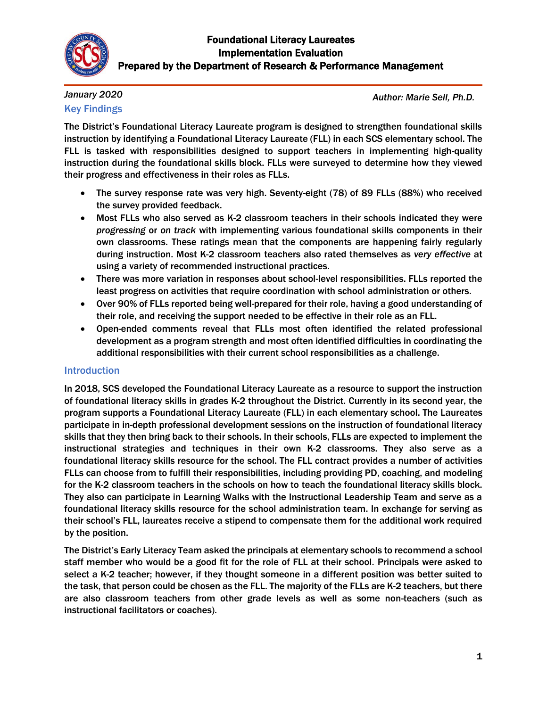

#### *January 2020* Key Findings

*Author: Marie Sell, Ph.D.*

The District's Foundational Literacy Laureate program is designed to strengthen foundational skills instruction by identifying a Foundational Literacy Laureate (FLL) in each SCS elementary school. The FLL is tasked with responsibilities designed to support teachers in implementing high-quality instruction during the foundational skills block. FLLs were surveyed to determine how they viewed their progress and effectiveness in their roles as FLLs.

- The survey response rate was very high. Seventy-eight (78) of 89 FLLs (88%) who received the survey provided feedback.
- Most FLLs who also served as K-2 classroom teachers in their schools indicated they were *progressing* or *on track* with implementing various foundational skills components in their own classrooms. These ratings mean that the components are happening fairly regularly during instruction. Most K-2 classroom teachers also rated themselves as *very effective* at using a variety of recommended instructional practices.
- There was more variation in responses about school-level responsibilities. FLLs reported the least progress on activities that require coordination with school administration or others.
- Over 90% of FLLs reported being well-prepared for their role, having a good understanding of their role, and receiving the support needed to be effective in their role as an FLL.
- Open-ended comments reveal that FLLs most often identified the related professional development as a program strength and most often identified difficulties in coordinating the additional responsibilities with their current school responsibilities as a challenge.

## Introduction

In 2018, SCS developed the Foundational Literacy Laureate as a resource to support the instruction of foundational literacy skills in grades K-2 throughout the District. Currently in its second year, the program supports a Foundational Literacy Laureate (FLL) in each elementary school. The Laureates participate in in-depth professional development sessions on the instruction of foundational literacy skills that they then bring back to their schools. In their schools, FLLs are expected to implement the instructional strategies and techniques in their own K-2 classrooms. They also serve as a foundational literacy skills resource for the school. The FLL contract provides a number of activities FLLs can choose from to fulfill their responsibilities, including providing PD, coaching, and modeling for the K-2 classroom teachers in the schools on how to teach the foundational literacy skills block. They also can participate in Learning Walks with the Instructional Leadership Team and serve as a foundational literacy skills resource for the school administration team. In exchange for serving as their school's FLL, laureates receive a stipend to compensate them for the additional work required by the position.

The District's Early Literacy Team asked the principals at elementary schools to recommend a school staff member who would be a good fit for the role of FLL at their school. Principals were asked to select a K-2 teacher; however, if they thought someone in a different position was better suited to the task, that person could be chosen as the FLL. The majority of the FLLs are K-2 teachers, but there are also classroom teachers from other grade levels as well as some non-teachers (such as instructional facilitators or coaches).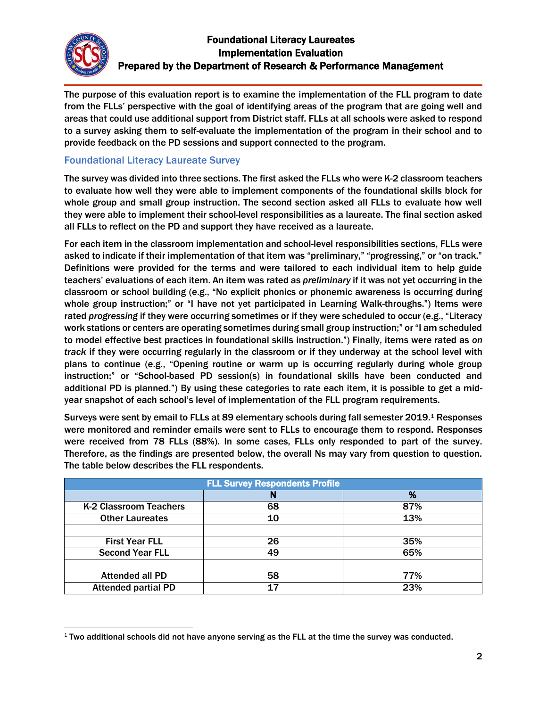

 $\overline{\phantom{a}}$ 

## Foundational Literacy Laureates Implementation Evaluation Prepared by the Department of Research & Performance Management

The purpose of this evaluation report is to examine the implementation of the FLL program to date from the FLLs' perspective with the goal of identifying areas of the program that are going well and areas that could use additional support from District staff. FLLs at all schools were asked to respond to a survey asking them to self-evaluate the implementation of the program in their school and to provide feedback on the PD sessions and support connected to the program.

## Foundational Literacy Laureate Survey

The survey was divided into three sections. The first asked the FLLs who were K-2 classroom teachers to evaluate how well they were able to implement components of the foundational skills block for whole group and small group instruction. The second section asked all FLLs to evaluate how well they were able to implement their school-level responsibilities as a laureate. The final section asked all FLLs to reflect on the PD and support they have received as a laureate.

For each item in the classroom implementation and school-level responsibilities sections, FLLs were asked to indicate if their implementation of that item was "preliminary," "progressing," or "on track." Definitions were provided for the terms and were tailored to each individual item to help guide teachers' evaluations of each item. An item was rated as *preliminary* if it was not yet occurring in the classroom or school building (e.g., "No explicit phonics or phonemic awareness is occurring during whole group instruction;" or "I have not yet participated in Learning Walk-throughs.") Items were rated *progressing* if they were occurring sometimes or if they were scheduled to occur (e.g., "Literacy work stations or centers are operating sometimes during small group instruction;" or "I am scheduled to model effective best practices in foundational skills instruction.") Finally, items were rated as *on track* if they were occurring regularly in the classroom or if they underway at the school level with plans to continue (e.g., "Opening routine or warm up is occurring regularly during whole group instruction;" or "School-based PD session(s) in foundational skills have been conducted and additional PD is planned.") By using these categories to rate each item, it is possible to get a midyear snapshot of each school's level of implementation of the FLL program requirements.

Surveys were sent by email to FLLs at 89 elementary schools during fall semester 2019.<sup>1</sup> Responses were monitored and reminder emails were sent to FLLs to encourage them to respond. Responses were received from 78 FLLs (88%). In some cases, FLLs only responded to part of the survey. Therefore, as the findings are presented below, the overall Ns may vary from question to question. The table below describes the FLL respondents.

| <b>FLL Survey Respondents Profile</b> |    |     |
|---------------------------------------|----|-----|
|                                       | N  | %   |
| K-2 Classroom Teachers                | 68 | 87% |
| <b>Other Laureates</b>                | 10 | 13% |
|                                       |    |     |
| <b>First Year FLL</b>                 | 26 | 35% |
| <b>Second Year FLL</b>                | 49 | 65% |
|                                       |    |     |
| <b>Attended all PD</b>                | 58 | 77% |
| <b>Attended partial PD</b>            | 17 | 23% |

 $1$  Two additional schools did not have anyone serving as the FLL at the time the survey was conducted.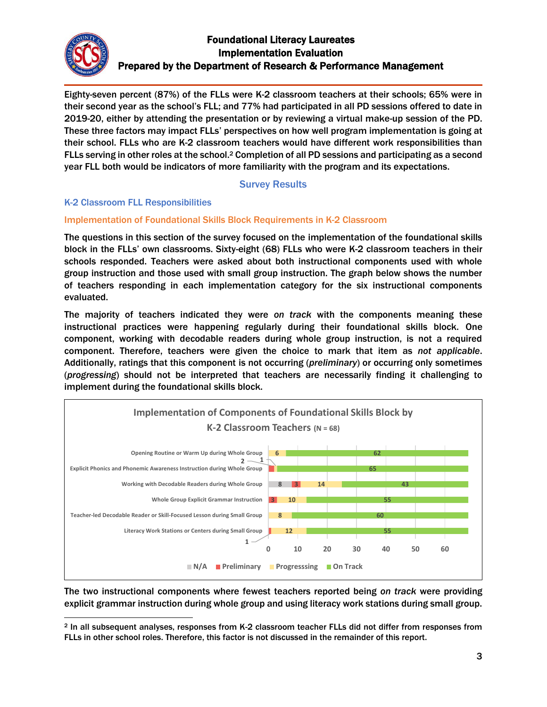

Eighty-seven percent (87%) of the FLLs were K-2 classroom teachers at their schools; 65% were in their second year as the school's FLL; and 77% had participated in all PD sessions offered to date in 2019-20, either by attending the presentation or by reviewing a virtual make-up session of the PD. These three factors may impact FLLs' perspectives on how well program implementation is going at their school. FLLs who are K-2 classroom teachers would have different work responsibilities than FLLs serving in other roles at the school.<sup>2</sup> Completion of all PD sessions and participating as a second year FLL both would be indicators of more familiarity with the program and its expectations.

#### Survey Results

#### K-2 Classroom FLL Responsibilities

#### Implementation of Foundational Skills Block Requirements in K-2 Classroom

The questions in this section of the survey focused on the implementation of the foundational skills block in the FLLs' own classrooms. Sixty-eight (68) FLLs who were K-2 classroom teachers in their schools responded. Teachers were asked about both instructional components used with whole group instruction and those used with small group instruction. The graph below shows the number of teachers responding in each implementation category for the six instructional components evaluated.

The majority of teachers indicated they were *on track* with the components meaning these instructional practices were happening regularly during their foundational skills block. One component, working with decodable readers during whole group instruction, is not a required component. Therefore, teachers were given the choice to mark that item as *not applicable*. Additionally, ratings that this component is not occurring (*preliminary*) or occurring only sometimes (*progressing*) should not be interpreted that teachers are necessarily finding it challenging to implement during the foundational skills block.



The two instructional components where fewest teachers reported being *on track* were providing explicit grammar instruction during whole group and using literacy work stations during small group.

 $\overline{\phantom{a}}$ <sup>2</sup> In all subsequent analyses, responses from K-2 classroom teacher FLLs did not differ from responses from FLLs in other school roles. Therefore, this factor is not discussed in the remainder of this report.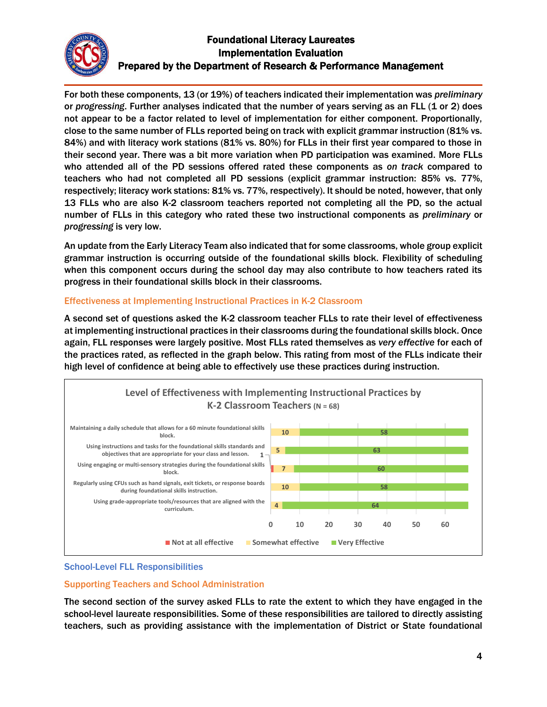

For both these components, 13 (or 19%) of teachers indicated their implementation was *preliminary* or *progressing*. Further analyses indicated that the number of years serving as an FLL (1 or 2) does not appear to be a factor related to level of implementation for either component. Proportionally, close to the same number of FLLs reported being on track with explicit grammar instruction (81% vs. 84%) and with literacy work stations (81% vs. 80%) for FLLs in their first year compared to those in their second year. There was a bit more variation when PD participation was examined. More FLLs who attended all of the PD sessions offered rated these components as *on track* compared to teachers who had not completed all PD sessions (explicit grammar instruction: 85% vs. 77%, respectively; literacy work stations: 81% vs. 77%, respectively). It should be noted, however, that only 13 FLLs who are also K-2 classroom teachers reported not completing all the PD, so the actual number of FLLs in this category who rated these two instructional components as *preliminary* or *progressing* is very low.

An update from the Early Literacy Team also indicated that for some classrooms, whole group explicit grammar instruction is occurring outside of the foundational skills block. Flexibility of scheduling when this component occurs during the school day may also contribute to how teachers rated its progress in their foundational skills block in their classrooms.

#### Effectiveness at Implementing Instructional Practices in K-2 Classroom

A second set of questions asked the K-2 classroom teacher FLLs to rate their level of effectiveness at implementing instructional practices in their classrooms during the foundational skills block. Once again, FLL responses were largely positive. Most FLLs rated themselves as *very effective* for each of the practices rated, as reflected in the graph below. This rating from most of the FLLs indicate their high level of confidence at being able to effectively use these practices during instruction.



#### School-Level FLL Responsibilities

#### Supporting Teachers and School Administration

The second section of the survey asked FLLs to rate the extent to which they have engaged in the school-level laureate responsibilities. Some of these responsibilities are tailored to directly assisting teachers, such as providing assistance with the implementation of District or State foundational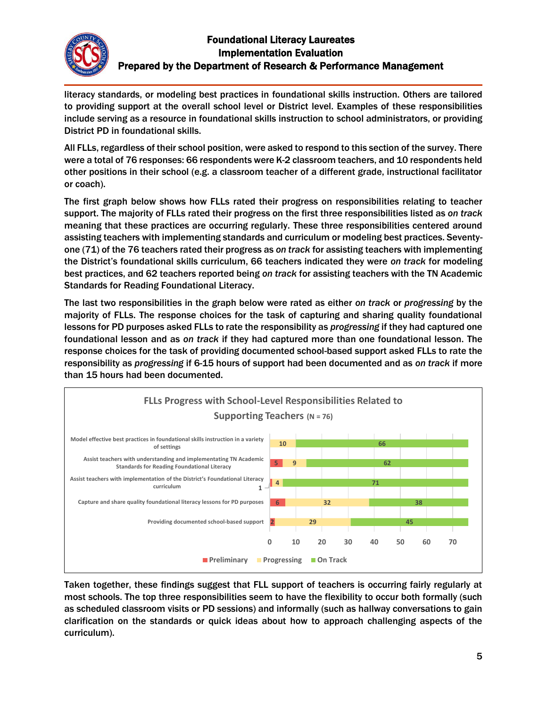

literacy standards, or modeling best practices in foundational skills instruction. Others are tailored to providing support at the overall school level or District level. Examples of these responsibilities include serving as a resource in foundational skills instruction to school administrators, or providing District PD in foundational skills.

All FLLs, regardless of their school position, were asked to respond to this section of the survey. There were a total of 76 responses: 66 respondents were K-2 classroom teachers, and 10 respondents held other positions in their school (e.g. a classroom teacher of a different grade, instructional facilitator or coach).

The first graph below shows how FLLs rated their progress on responsibilities relating to teacher support. The majority of FLLs rated their progress on the first three responsibilities listed as *on track* meaning that these practices are occurring regularly. These three responsibilities centered around assisting teachers with implementing standards and curriculum or modeling best practices. Seventyone (71) of the 76 teachers rated their progress as *on track* for assisting teachers with implementing the District's foundational skills curriculum, 66 teachers indicated they were *on track* for modeling best practices, and 62 teachers reported being *on track* for assisting teachers with the TN Academic Standards for Reading Foundational Literacy.

The last two responsibilities in the graph below were rated as either *on track* or *progressing* by the majority of FLLs. The response choices for the task of capturing and sharing quality foundational lessons for PD purposes asked FLLs to rate the responsibility as *progressing* if they had captured one foundational lesson and as *on track* if they had captured more than one foundational lesson. The response choices for the task of providing documented school-based support asked FLLs to rate the responsibility as *progressing* if 6-15 hours of support had been documented and as *on track* if more than 15 hours had been documented.



Taken together, these findings suggest that FLL support of teachers is occurring fairly regularly at most schools. The top three responsibilities seem to have the flexibility to occur both formally (such as scheduled classroom visits or PD sessions) and informally (such as hallway conversations to gain clarification on the standards or quick ideas about how to approach challenging aspects of the curriculum).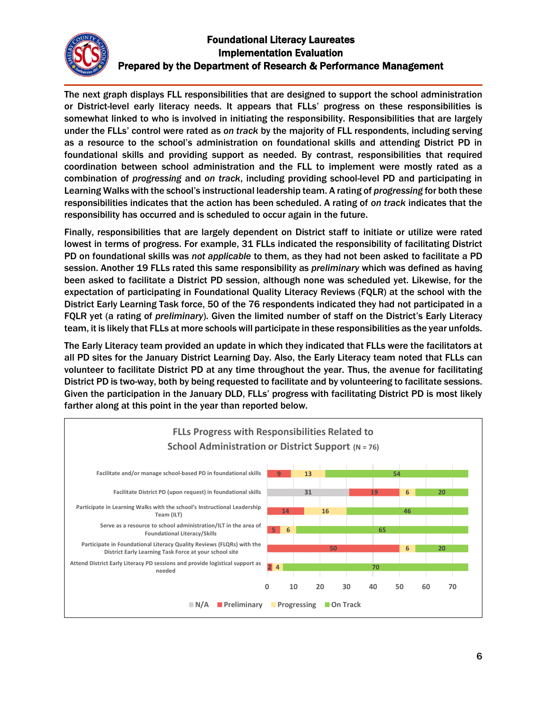

The next graph displays FLL responsibilities that are designed to support the school administration or District-level early literacy needs. It appears that FLLs' progress on these responsibilities is somewhat linked to who is involved in initiating the responsibility. Responsibilities that are largely under the FLLs' control were rated as *on track* by the majority of FLL respondents, including serving as a resource to the school's administration on foundational skills and attending District PD in foundational skills and providing support as needed. By contrast, responsibilities that required coordination between school administration and the FLL to implement were mostly rated as a combination of *progressing* and *on track*, including providing school-level PD and participating in Learning Walks with the school's instructional leadership team. A rating of *progressing* for both these responsibilities indicates that the action has been scheduled. A rating of *on track* indicates that the responsibility has occurred and is scheduled to occur again in the future.

Finally, responsibilities that are largely dependent on District staff to initiate or utilize were rated lowest in terms of progress. For example, 31 FLLs indicated the responsibility of facilitating District PD on foundational skills was *not applicable* to them, as they had not been asked to facilitate a PD session. Another 19 FLLs rated this same responsibility as *preliminary* which was defined as having been asked to facilitate a District PD session, although none was scheduled yet. Likewise, for the expectation of participating in Foundational Quality Literacy Reviews (FQLR) at the school with the District Early Learning Task force, 50 of the 76 respondents indicated they had not participated in a FQLR yet (a rating of *preliminary*). Given the limited number of staff on the District's Early Literacy team, it is likely that FLLs at more schools will participate in these responsibilities as the year unfolds.

The Early Literacy team provided an update in which they indicated that FLLs were the facilitators at all PD sites for the January District Learning Day. Also, the Early Literacy team noted that FLLs can volunteer to facilitate District PD at any time throughout the year. Thus, the avenue for facilitating District PD is two-way, both by being requested to facilitate and by volunteering to facilitate sessions. Given the participation in the January DLD, FLLs' progress with facilitating District PD is most likely farther along at this point in the year than reported below.

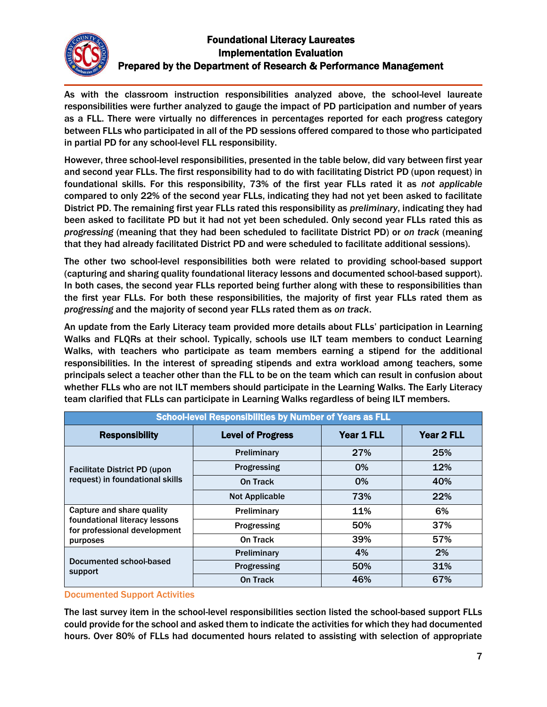

As with the classroom instruction responsibilities analyzed above, the school-level laureate responsibilities were further analyzed to gauge the impact of PD participation and number of years as a FLL. There were virtually no differences in percentages reported for each progress category between FLLs who participated in all of the PD sessions offered compared to those who participated in partial PD for any school-level FLL responsibility.

However, three school-level responsibilities, presented in the table below, did vary between first year and second year FLLs. The first responsibility had to do with facilitating District PD (upon request) in foundational skills. For this responsibility, 73% of the first year FLLs rated it as *not applicable* compared to only 22% of the second year FLLs, indicating they had not yet been asked to facilitate District PD. The remaining first year FLLs rated this responsibility as *preliminary*, indicating they had been asked to facilitate PD but it had not yet been scheduled. Only second year FLLs rated this as *progressing* (meaning that they had been scheduled to facilitate District PD) or *on track* (meaning that they had already facilitated District PD and were scheduled to facilitate additional sessions).

The other two school-level responsibilities both were related to providing school-based support (capturing and sharing quality foundational literacy lessons and documented school-based support). In both cases, the second year FLLs reported being further along with these to responsibilities than the first year FLLs. For both these responsibilities, the majority of first year FLLs rated them as *progressing* and the majority of second year FLLs rated them as *on track*.

An update from the Early Literacy team provided more details about FLLs' participation in Learning Walks and FLQRs at their school. Typically, schools use ILT team members to conduct Learning Walks, with teachers who participate as team members earning a stipend for the additional responsibilities. In the interest of spreading stipends and extra workload among teachers, some principals select a teacher other than the FLL to be on the team which can result in confusion about whether FLLs who are not ILT members should participate in the Learning Walks. The Early Literacy team clarified that FLLs can participate in Learning Walks regardless of being ILT members.

| <b>School-level Responsibilities by Number of Years as FLL</b>                                         |                          |            |            |
|--------------------------------------------------------------------------------------------------------|--------------------------|------------|------------|
| <b>Responsibility</b>                                                                                  | <b>Level of Progress</b> | Year 1 FLL | Year 2 FLL |
| <b>Facilitate District PD (upon</b><br>request) in foundational skills                                 | Preliminary              | 27%        | 25%        |
|                                                                                                        | Progressing              | $0\%$      | <b>12%</b> |
|                                                                                                        | On Track                 | $0\%$      | 40%        |
|                                                                                                        | <b>Not Applicable</b>    | 73%        | <b>22%</b> |
| Capture and share quality<br>foundational literacy lessons<br>for professional development<br>purposes | Preliminary              | 11%        | 6%         |
|                                                                                                        | Progressing              | 50%        | 37%        |
|                                                                                                        | On Track                 | 39%        | 57%        |
| Documented school-based<br>support                                                                     | Preliminary              | 4%         | 2%         |
|                                                                                                        | Progressing              | 50%        | 31%        |
|                                                                                                        | <b>On Track</b>          | 46%        | 67%        |

#### Documented Support Activities

The last survey item in the school-level responsibilities section listed the school-based support FLLs could provide for the school and asked them to indicate the activities for which they had documented hours. Over 80% of FLLs had documented hours related to assisting with selection of appropriate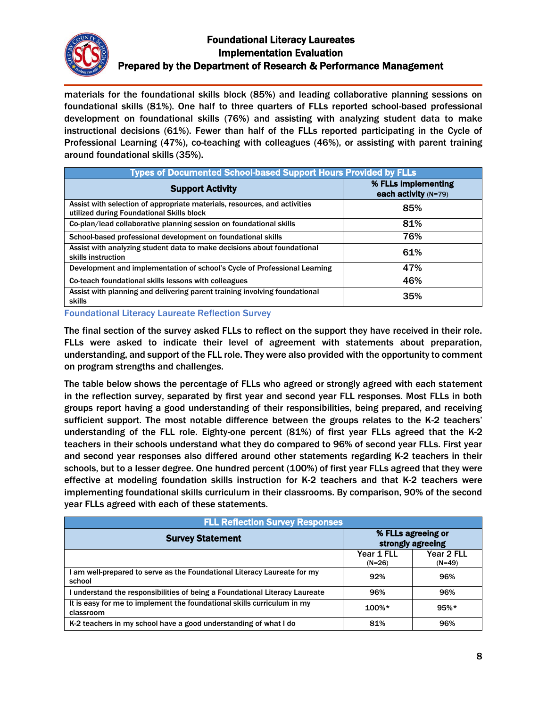

materials for the foundational skills block (85%) and leading collaborative planning sessions on foundational skills (81%). One half to three quarters of FLLs reported school-based professional development on foundational skills (76%) and assisting with analyzing student data to make instructional decisions (61%). Fewer than half of the FLLs reported participating in the Cycle of Professional Learning (47%), co-teaching with colleagues (46%), or assisting with parent training around foundational skills (35%).

| <b>Types of Documented School-based Support Hours Provided by FLLs</b>                                                 |                                               |  |
|------------------------------------------------------------------------------------------------------------------------|-----------------------------------------------|--|
| <b>Support Activity</b>                                                                                                | % FLLs implementing<br>each activity $(N=79)$ |  |
| Assist with selection of appropriate materials, resources, and activities<br>utilized during Foundational Skills block | 85%                                           |  |
| Co-plan/lead collaborative planning session on foundational skills                                                     | 81%                                           |  |
| School-based professional development on foundational skills                                                           | 76%                                           |  |
| Assist with analyzing student data to make decisions about foundational<br>skills instruction                          | 61%                                           |  |
| Development and implementation of school's Cycle of Professional Learning                                              | 47%                                           |  |
| Co-teach foundational skills lessons with colleagues                                                                   | 46%                                           |  |
| Assist with planning and delivering parent training involving foundational<br>skills                                   | 35%                                           |  |

Foundational Literacy Laureate Reflection Survey

The final section of the survey asked FLLs to reflect on the support they have received in their role. FLLs were asked to indicate their level of agreement with statements about preparation, understanding, and support of the FLL role. They were also provided with the opportunity to comment on program strengths and challenges.

The table below shows the percentage of FLLs who agreed or strongly agreed with each statement in the reflection survey, separated by first year and second year FLL responses. Most FLLs in both groups report having a good understanding of their responsibilities, being prepared, and receiving sufficient support. The most notable difference between the groups relates to the K-2 teachers' understanding of the FLL role. Eighty-one percent (81%) of first year FLLs agreed that the K-2 teachers in their schools understand what they do compared to 96% of second year FLLs. First year and second year responses also differed around other statements regarding K-2 teachers in their schools, but to a lesser degree. One hundred percent (100%) of first year FLLs agreed that they were effective at modeling foundation skills instruction for K-2 teachers and that K-2 teachers were implementing foundational skills curriculum in their classrooms. By comparison, 90% of the second year FLLs agreed with each of these statements.

| <b>FLL Reflection Survey Responses</b>                                               |                                         |                        |
|--------------------------------------------------------------------------------------|-----------------------------------------|------------------------|
| <b>Survey Statement</b>                                                              | % FLLs agreeing or<br>strongly agreeing |                        |
|                                                                                      | Year 1 FLL<br>$(N=26)$                  | Year 2 FLL<br>$(N=49)$ |
| am well-prepared to serve as the Foundational Literacy Laureate for my<br>school     | 92%                                     | 96%                    |
| understand the responsibilities of being a Foundational Literacy Laureate            | 96%                                     | 96%                    |
| It is easy for me to implement the foundational skills curriculum in my<br>classroom | $100\%*$                                | $95%$ *                |
| K-2 teachers in my school have a good understanding of what I do                     | 81%                                     | 96%                    |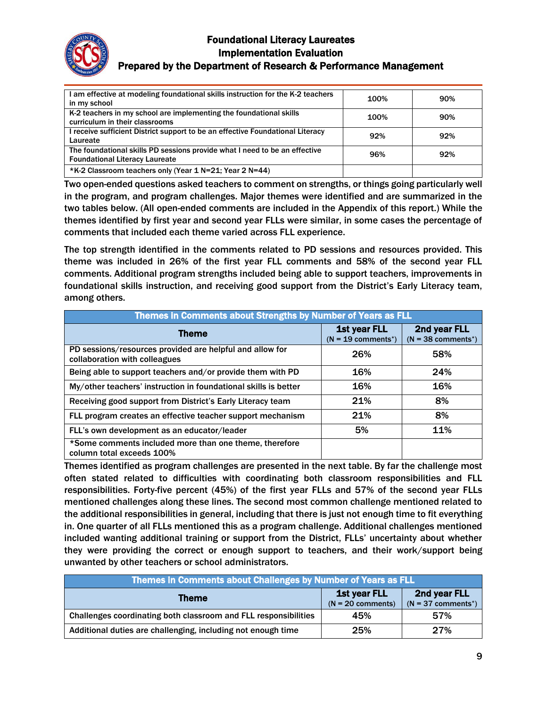

#### Prepared by the Department of Research & Performance Management

| I am effective at modeling foundational skills instruction for the K-2 teachers | 100% | 90% |
|---------------------------------------------------------------------------------|------|-----|
| in my school                                                                    |      |     |
| K-2 teachers in my school are implementing the foundational skills              | 100% | 90% |
| curriculum in their classrooms                                                  |      |     |
| l receive sufficient District support to be an effective Foundational Literacy  | 92%  | 92% |
| Laureate                                                                        |      |     |
| The foundational skills PD sessions provide what I need to be an effective      | 96%  | 92% |
| <b>Foundational Literacy Laureate</b>                                           |      |     |
| *K-2 Classroom teachers only (Year 1 N=21; Year 2 N=44)                         |      |     |

Two open-ended questions asked teachers to comment on strengths, or things going particularly well in the program, and program challenges. Major themes were identified and are summarized in the two tables below. (All open-ended comments are included in the Appendix of this report.) While the themes identified by first year and second year FLLs were similar, in some cases the percentage of comments that included each theme varied across FLL experience.

The top strength identified in the comments related to PD sessions and resources provided. This theme was included in 26% of the first year FLL comments and 58% of the second year FLL comments. Additional program strengths included being able to support teachers, improvements in foundational skills instruction, and receiving good support from the District's Early Literacy team, among others.

| <b>Themes in Comments about Strengths by Number of Years as FLL</b>                       |                                                          |                                                   |
|-------------------------------------------------------------------------------------------|----------------------------------------------------------|---------------------------------------------------|
| Theme                                                                                     | <b>1st year FLL</b><br>$(N = 19$ comments <sup>*</sup> ) | 2nd year FLL<br>$(N = 38$ comments <sup>*</sup> ) |
| PD sessions/resources provided are helpful and allow for<br>collaboration with colleagues | 26%                                                      | 58%                                               |
| Being able to support teachers and/or provide them with PD                                | 16%                                                      | 24%                                               |
| My/other teachers' instruction in foundational skills is better                           | 16%                                                      | 16%                                               |
| Receiving good support from District's Early Literacy team                                | 21%                                                      | 8%                                                |
| FLL program creates an effective teacher support mechanism                                | 21%                                                      | 8%                                                |
| FLL's own development as an educator/leader                                               | 5%                                                       | 11%                                               |
| *Some comments included more than one theme, therefore<br>column total exceeds 100%       |                                                          |                                                   |

Themes identified as program challenges are presented in the next table. By far the challenge most often stated related to difficulties with coordinating both classroom responsibilities and FLL responsibilities. Forty-five percent (45%) of the first year FLLs and 57% of the second year FLLs mentioned challenges along these lines. The second most common challenge mentioned related to the additional responsibilities in general, including that there is just not enough time to fit everything in. One quarter of all FLLs mentioned this as a program challenge. Additional challenges mentioned included wanting additional training or support from the District, FLLs' uncertainty about whether they were providing the correct or enough support to teachers, and their work/support being unwanted by other teachers or school administrators.

| Themes in Comments about Challenges by Number of Years as FLL   |                                            |                                      |
|-----------------------------------------------------------------|--------------------------------------------|--------------------------------------|
| Theme                                                           | <b>1st year FLL</b><br>$(N = 20$ comments) | 2nd year FLL<br>$(N = 37$ comments*) |
| Challenges coordinating both classroom and FLL responsibilities | 45%                                        | 57%                                  |
| Additional duties are challenging, including not enough time    | 25%                                        | 27%                                  |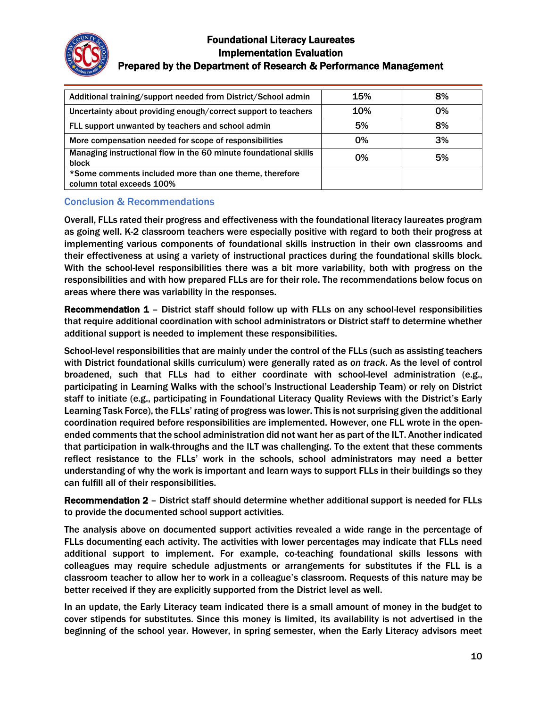

| Additional training/support needed from District/School admin                       | 15%        | 8% |
|-------------------------------------------------------------------------------------|------------|----|
| Uncertainty about providing enough/correct support to teachers                      | <b>10%</b> | 0% |
| FLL support unwanted by teachers and school admin                                   | 5%         | 8% |
| More compensation needed for scope of responsibilities                              | 0%         | 3% |
| Managing instructional flow in the 60 minute foundational skills<br>block           | 0%         | 5% |
| *Some comments included more than one theme, therefore<br>column total exceeds 100% |            |    |

## Conclusion & Recommendations

Overall, FLLs rated their progress and effectiveness with the foundational literacy laureates program as going well. K-2 classroom teachers were especially positive with regard to both their progress at implementing various components of foundational skills instruction in their own classrooms and their effectiveness at using a variety of instructional practices during the foundational skills block. With the school-level responsibilities there was a bit more variability, both with progress on the responsibilities and with how prepared FLLs are for their role. The recommendations below focus on areas where there was variability in the responses.

Recommendation 1 - District staff should follow up with FLLs on any school-level responsibilities that require additional coordination with school administrators or District staff to determine whether additional support is needed to implement these responsibilities.

School-level responsibilities that are mainly under the control of the FLLs (such as assisting teachers with District foundational skills curriculum) were generally rated as *on track*. As the level of control broadened, such that FLLs had to either coordinate with school-level administration (e.g., participating in Learning Walks with the school's Instructional Leadership Team) or rely on District staff to initiate (e.g., participating in Foundational Literacy Quality Reviews with the District's Early Learning Task Force), the FLLs' rating of progress was lower. This is not surprising given the additional coordination required before responsibilities are implemented. However, one FLL wrote in the openended comments that the school administration did not want her as part of the ILT. Another indicated that participation in walk-throughs and the ILT was challenging. To the extent that these comments reflect resistance to the FLLs' work in the schools, school administrators may need a better understanding of why the work is important and learn ways to support FLLs in their buildings so they can fulfill all of their responsibilities.

Recommendation 2 – District staff should determine whether additional support is needed for FLLs to provide the documented school support activities.

The analysis above on documented support activities revealed a wide range in the percentage of FLLs documenting each activity. The activities with lower percentages may indicate that FLLs need additional support to implement. For example, co-teaching foundational skills lessons with colleagues may require schedule adjustments or arrangements for substitutes if the FLL is a classroom teacher to allow her to work in a colleague's classroom. Requests of this nature may be better received if they are explicitly supported from the District level as well.

In an update, the Early Literacy team indicated there is a small amount of money in the budget to cover stipends for substitutes. Since this money is limited, its availability is not advertised in the beginning of the school year. However, in spring semester, when the Early Literacy advisors meet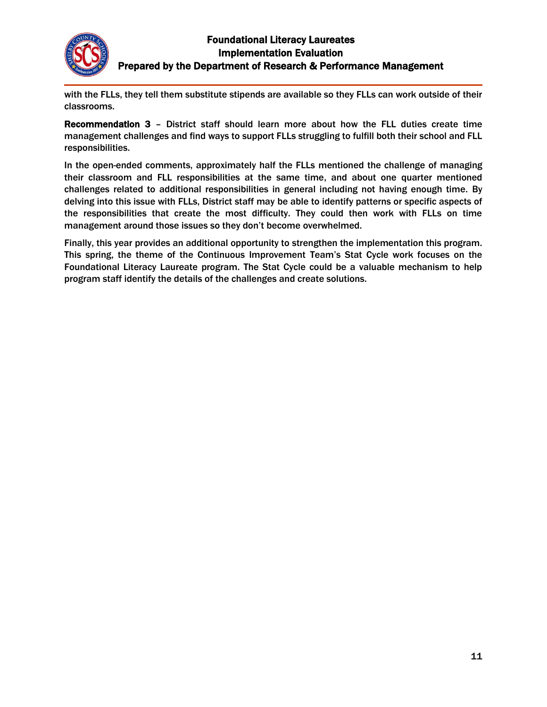

with the FLLs, they tell them substitute stipends are available so they FLLs can work outside of their classrooms.

Recommendation 3 – District staff should learn more about how the FLL duties create time management challenges and find ways to support FLLs struggling to fulfill both their school and FLL responsibilities.

In the open-ended comments, approximately half the FLLs mentioned the challenge of managing their classroom and FLL responsibilities at the same time, and about one quarter mentioned challenges related to additional responsibilities in general including not having enough time. By delving into this issue with FLLs, District staff may be able to identify patterns or specific aspects of the responsibilities that create the most difficulty. They could then work with FLLs on time management around those issues so they don't become overwhelmed.

Finally, this year provides an additional opportunity to strengthen the implementation this program. This spring, the theme of the Continuous Improvement Team's Stat Cycle work focuses on the Foundational Literacy Laureate program. The Stat Cycle could be a valuable mechanism to help program staff identify the details of the challenges and create solutions.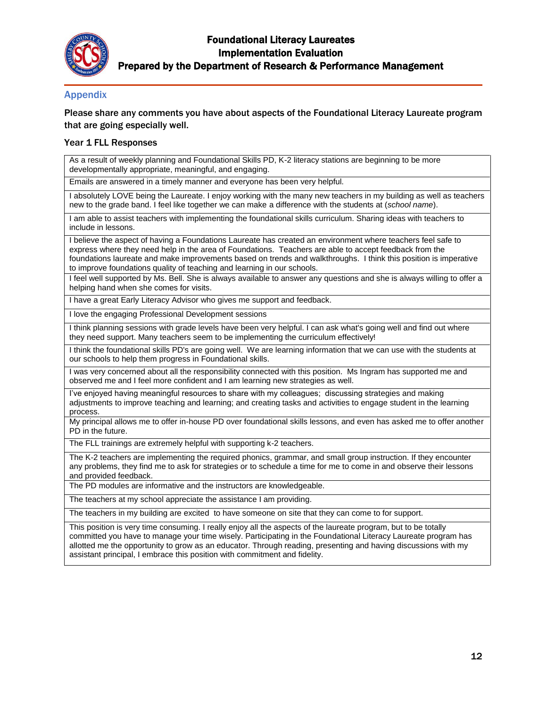

#### Appendix

Please share any comments you have about aspects of the Foundational Literacy Laureate program that are going especially well.

#### Year 1 FLL Responses

As a result of weekly planning and Foundational Skills PD, K-2 literacy stations are beginning to be more developmentally appropriate, meaningful, and engaging.

Emails are answered in a timely manner and everyone has been very helpful.

I absolutely LOVE being the Laureate. I enjoy working with the many new teachers in my building as well as teachers new to the grade band. I feel like together we can make a difference with the students at (*school name*).

I am able to assist teachers with implementing the foundational skills curriculum. Sharing ideas with teachers to include in lessons.

I believe the aspect of having a Foundations Laureate has created an environment where teachers feel safe to express where they need help in the area of Foundations. Teachers are able to accept feedback from the foundations laureate and make improvements based on trends and walkthroughs. I think this position is imperative to improve foundations quality of teaching and learning in our schools.

I feel well supported by Ms. Bell. She is always available to answer any questions and she is always willing to offer a helping hand when she comes for visits.

I have a great Early Literacy Advisor who gives me support and feedback.

I love the engaging Professional Development sessions

I think planning sessions with grade levels have been very helpful. I can ask what's going well and find out where they need support. Many teachers seem to be implementing the curriculum effectively!

I think the foundational skills PD's are going well. We are learning information that we can use with the students at our schools to help them progress in Foundational skills.

I was very concerned about all the responsibility connected with this position. Ms Ingram has supported me and observed me and I feel more confident and I am learning new strategies as well.

I've enjoyed having meaningful resources to share with my colleagues; discussing strategies and making adjustments to improve teaching and learning; and creating tasks and activities to engage student in the learning process.

My principal allows me to offer in-house PD over foundational skills lessons, and even has asked me to offer another PD in the future.

The FLL trainings are extremely helpful with supporting k-2 teachers.

The K-2 teachers are implementing the required phonics, grammar, and small group instruction. If they encounter any problems, they find me to ask for strategies or to schedule a time for me to come in and observe their lessons and provided feedback.

The PD modules are informative and the instructors are knowledgeable.

The teachers at my school appreciate the assistance I am providing.

The teachers in my building are excited to have someone on site that they can come to for support.

This position is very time consuming. I really enjoy all the aspects of the laureate program, but to be totally committed you have to manage your time wisely. Participating in the Foundational Literacy Laureate program has allotted me the opportunity to grow as an educator. Through reading, presenting and having discussions with my assistant principal, I embrace this position with commitment and fidelity.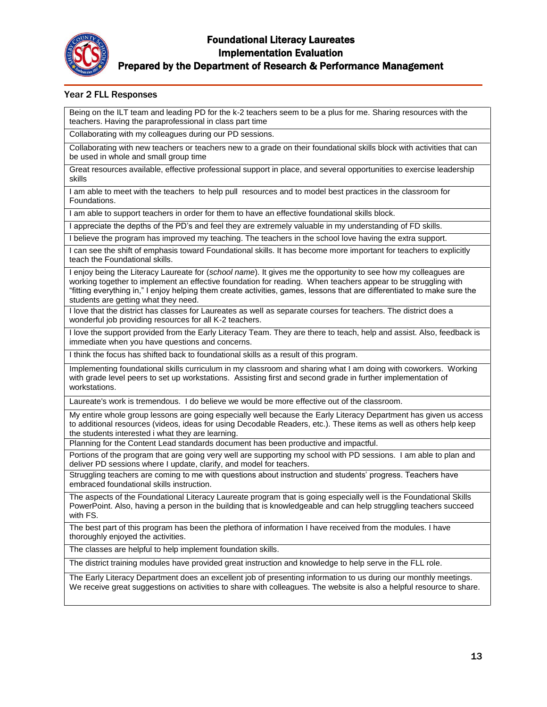

#### Prepared by the Department of Research & Performance Management

#### Year 2 FLL Responses

Being on the ILT team and leading PD for the k-2 teachers seem to be a plus for me. Sharing resources with the teachers. Having the paraprofessional in class part time

Collaborating with my colleagues during our PD sessions.

Collaborating with new teachers or teachers new to a grade on their foundational skills block with activities that can be used in whole and small group time

Great resources available, effective professional support in place, and several opportunities to exercise leadership skills

I am able to meet with the teachers to help pull resources and to model best practices in the classroom for Foundations.

I am able to support teachers in order for them to have an effective foundational skills block.

I appreciate the depths of the PD's and feel they are extremely valuable in my understanding of FD skills.

I believe the program has improved my teaching. The teachers in the school love having the extra support.

I can see the shift of emphasis toward Foundational skills. It has become more important for teachers to explicitly teach the Foundational skills.

I enjoy being the Literacy Laureate for (*school name*). It gives me the opportunity to see how my colleagues are working together to implement an effective foundation for reading. When teachers appear to be struggling with "fitting everything in," I enjoy helping them create activities, games, lessons that are differentiated to make sure the students are getting what they need.

I love that the district has classes for Laureates as well as separate courses for teachers. The district does a wonderful job providing resources for all K-2 teachers.

I love the support provided from the Early Literacy Team. They are there to teach, help and assist. Also, feedback is immediate when you have questions and concerns.

I think the focus has shifted back to foundational skills as a result of this program.

Implementing foundational skills curriculum in my classroom and sharing what I am doing with coworkers. Working with grade level peers to set up workstations. Assisting first and second grade in further implementation of workstations.

Laureate's work is tremendous. I do believe we would be more effective out of the classroom.

My entire whole group lessons are going especially well because the Early Literacy Department has given us access to additional resources (videos, ideas for using Decodable Readers, etc.). These items as well as others help keep the students interested i what they are learning.

Planning for the Content Lead standards document has been productive and impactful.

Portions of the program that are going very well are supporting my school with PD sessions. I am able to plan and deliver PD sessions where I update, clarify, and model for teachers.

Struggling teachers are coming to me with questions about instruction and students' progress. Teachers have embraced foundational skills instruction.

The aspects of the Foundational Literacy Laureate program that is going especially well is the Foundational Skills PowerPoint. Also, having a person in the building that is knowledgeable and can help struggling teachers succeed with FS.

The best part of this program has been the plethora of information I have received from the modules. I have thoroughly enjoyed the activities.

The classes are helpful to help implement foundation skills.

The district training modules have provided great instruction and knowledge to help serve in the FLL role.

The Early Literacy Department does an excellent job of presenting information to us during our monthly meetings. We receive great suggestions on activities to share with colleagues. The website is also a helpful resource to share.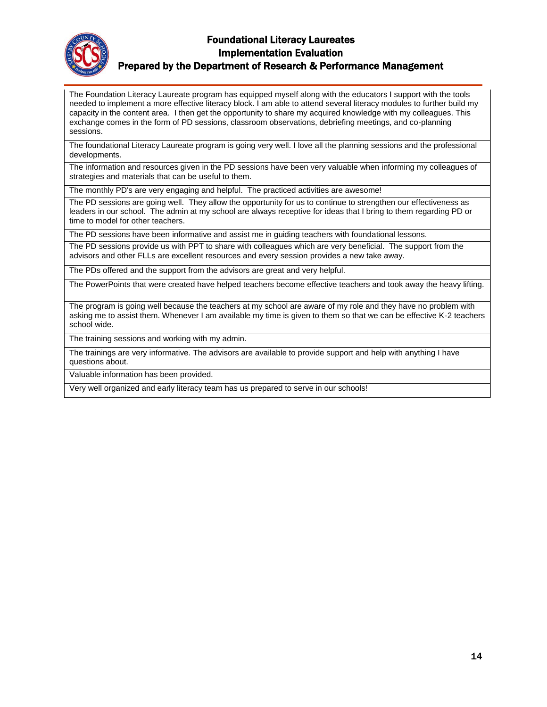

Prepared by the Department of Research & Performance Management

The Foundation Literacy Laureate program has equipped myself along with the educators I support with the tools needed to implement a more effective literacy block. I am able to attend several literacy modules to further build my capacity in the content area. I then get the opportunity to share my acquired knowledge with my colleagues. This exchange comes in the form of PD sessions, classroom observations, debriefing meetings, and co-planning sessions.

The foundational Literacy Laureate program is going very well. I love all the planning sessions and the professional developments.

The information and resources given in the PD sessions have been very valuable when informing my colleagues of strategies and materials that can be useful to them.

The monthly PD's are very engaging and helpful. The practiced activities are awesome!

The PD sessions are going well. They allow the opportunity for us to continue to strengthen our effectiveness as leaders in our school. The admin at my school are always receptive for ideas that I bring to them regarding PD or time to model for other teachers.

The PD sessions have been informative and assist me in guiding teachers with foundational lessons.

The PD sessions provide us with PPT to share with colleagues which are very beneficial. The support from the advisors and other FLLs are excellent resources and every session provides a new take away.

The PDs offered and the support from the advisors are great and very helpful.

The PowerPoints that were created have helped teachers become effective teachers and took away the heavy lifting.

The program is going well because the teachers at my school are aware of my role and they have no problem with asking me to assist them. Whenever I am available my time is given to them so that we can be effective K-2 teachers school wide.

The training sessions and working with my admin.

The trainings are very informative. The advisors are available to provide support and help with anything I have questions about.

Valuable information has been provided.

Very well organized and early literacy team has us prepared to serve in our schools!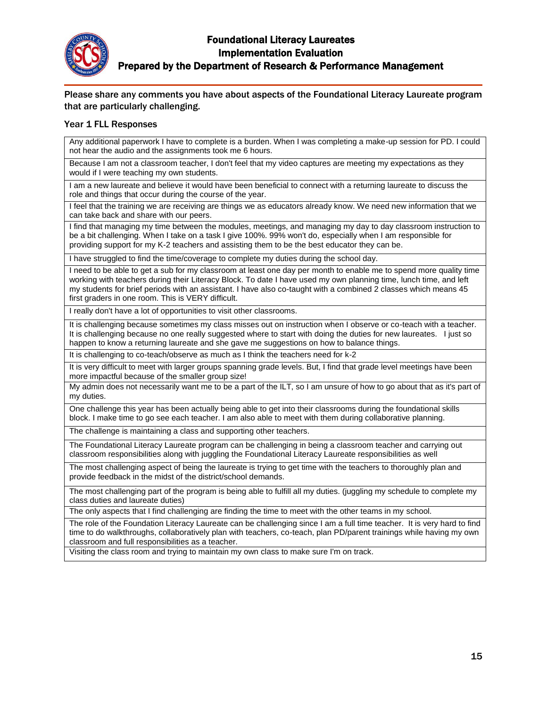

Please share any comments you have about aspects of the Foundational Literacy Laureate program that are particularly challenging.

#### Year 1 FLL Responses

Any additional paperwork I have to complete is a burden. When I was completing a make-up session for PD. I could not hear the audio and the assignments took me 6 hours.

Because I am not a classroom teacher, I don't feel that my video captures are meeting my expectations as they would if I were teaching my own students.

I am a new laureate and believe it would have been beneficial to connect with a returning laureate to discuss the role and things that occur during the course of the year.

I feel that the training we are receiving are things we as educators already know. We need new information that we can take back and share with our peers.

I find that managing my time between the modules, meetings, and managing my day to day classroom instruction to be a bit challenging. When I take on a task I give 100%. 99% won't do, especially when I am responsible for providing support for my K-2 teachers and assisting them to be the best educator they can be.

I have struggled to find the time/coverage to complete my duties during the school day.

I need to be able to get a sub for my classroom at least one day per month to enable me to spend more quality time working with teachers during their Literacy Block. To date I have used my own planning time, lunch time, and left my students for brief periods with an assistant. I have also co-taught with a combined 2 classes which means 45 first graders in one room. This is VERY difficult.

I really don't have a lot of opportunities to visit other classrooms.

It is challenging because sometimes my class misses out on instruction when I observe or co-teach with a teacher. It is challenging because no one really suggested where to start with doing the duties for new laureates. I just so happen to know a returning laureate and she gave me suggestions on how to balance things.

It is challenging to co-teach/observe as much as I think the teachers need for k-2

It is very difficult to meet with larger groups spanning grade levels. But, I find that grade level meetings have been more impactful because of the smaller group size!

My admin does not necessarily want me to be a part of the ILT, so I am unsure of how to go about that as it's part of my duties.

One challenge this year has been actually being able to get into their classrooms during the foundational skills block. I make time to go see each teacher. I am also able to meet with them during collaborative planning.

The challenge is maintaining a class and supporting other teachers.

The Foundational Literacy Laureate program can be challenging in being a classroom teacher and carrying out classroom responsibilities along with juggling the Foundational Literacy Laureate responsibilities as well

The most challenging aspect of being the laureate is trying to get time with the teachers to thoroughly plan and provide feedback in the midst of the district/school demands.

The most challenging part of the program is being able to fulfill all my duties. (juggling my schedule to complete my class duties and laureate duties)

The only aspects that I find challenging are finding the time to meet with the other teams in my school.

The role of the Foundation Literacy Laureate can be challenging since I am a full time teacher. It is very hard to find time to do walkthroughs, collaboratively plan with teachers, co-teach, plan PD/parent trainings while having my own classroom and full responsibilities as a teacher.

Visiting the class room and trying to maintain my own class to make sure I'm on track.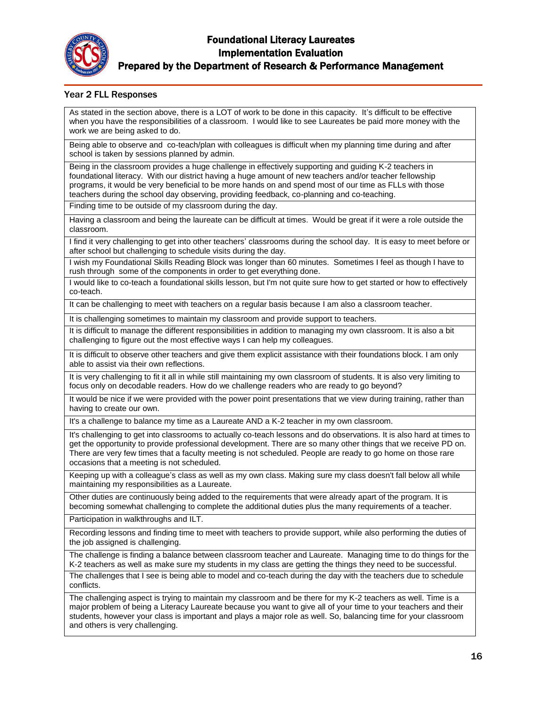

#### Year 2 FLL Responses

As stated in the section above, there is a LOT of work to be done in this capacity. It's difficult to be effective when you have the responsibilities of a classroom. I would like to see Laureates be paid more money with the work we are being asked to do.

Being able to observe and co-teach/plan with colleagues is difficult when my planning time during and after school is taken by sessions planned by admin.

Being in the classroom provides a huge challenge in effectively supporting and guiding K-2 teachers in foundational literacy. With our district having a huge amount of new teachers and/or teacher fellowship programs, it would be very beneficial to be more hands on and spend most of our time as FLLs with those teachers during the school day observing, providing feedback, co-planning and co-teaching.

Finding time to be outside of my classroom during the day.

Having a classroom and being the laureate can be difficult at times. Would be great if it were a role outside the classroom.

I find it very challenging to get into other teachers' classrooms during the school day. It is easy to meet before or after school but challenging to schedule visits during the day.

I wish my Foundational Skills Reading Block was longer than 60 minutes. Sometimes I feel as though I have to rush through some of the components in order to get everything done.

I would like to co-teach a foundational skills lesson, but I'm not quite sure how to get started or how to effectively co-teach.

It can be challenging to meet with teachers on a regular basis because I am also a classroom teacher.

It is challenging sometimes to maintain my classroom and provide support to teachers.

It is difficult to manage the different responsibilities in addition to managing my own classroom. It is also a bit challenging to figure out the most effective ways I can help my colleagues.

It is difficult to observe other teachers and give them explicit assistance with their foundations block. I am only able to assist via their own reflections.

It is very challenging to fit it all in while still maintaining my own classroom of students. It is also very limiting to focus only on decodable readers. How do we challenge readers who are ready to go beyond?

It would be nice if we were provided with the power point presentations that we view during training, rather than having to create our own.

It's a challenge to balance my time as a Laureate AND a K-2 teacher in my own classroom.

It's challenging to get into classrooms to actually co-teach lessons and do observations. It is also hard at times to get the opportunity to provide professional development. There are so many other things that we receive PD on. There are very few times that a faculty meeting is not scheduled. People are ready to go home on those rare occasions that a meeting is not scheduled.

Keeping up with a colleague's class as well as my own class. Making sure my class doesn't fall below all while maintaining my responsibilities as a Laureate.

Other duties are continuously being added to the requirements that were already apart of the program. It is becoming somewhat challenging to complete the additional duties plus the many requirements of a teacher.

Participation in walkthroughs and ILT.

Recording lessons and finding time to meet with teachers to provide support, while also performing the duties of the job assigned is challenging.

The challenge is finding a balance between classroom teacher and Laureate. Managing time to do things for the K-2 teachers as well as make sure my students in my class are getting the things they need to be successful.

The challenges that I see is being able to model and co-teach during the day with the teachers due to schedule conflicts.

The challenging aspect is trying to maintain my classroom and be there for my K-2 teachers as well. Time is a major problem of being a Literacy Laureate because you want to give all of your time to your teachers and their students, however your class is important and plays a major role as well. So, balancing time for your classroom and others is very challenging.